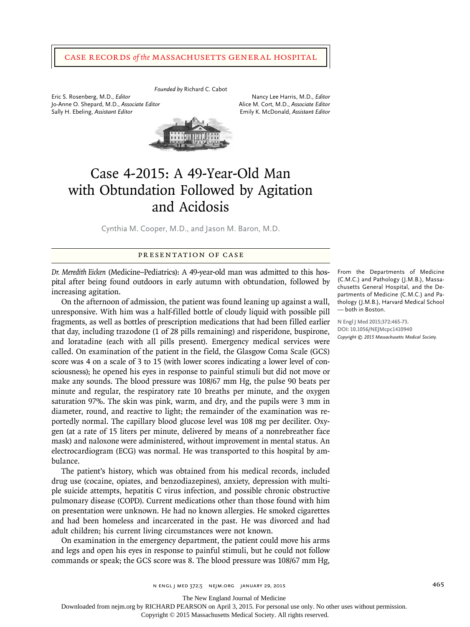## Case Records *of the* Massachusetts General Hospital

*Founded by* Richard C. Cabot Eric S. Rosenberg, M.D., *Editor* Nancy Lee Harris, M.D., *Editor* Jo-Anne O. Shepard, M.D., Associate Editor Sally H. Ebeling, *Assistant Editor* **Emily K. McDonald,** *Assistant Editor* Emily K. McDonald, *Assistant Editor* 



# Case 4-2015: A 49-Year-Old Man with Obtundation Followed by Agitation and Acidosis

Cynthia M. Cooper, M.D., and Jason M. Baron, M.D.

# Presentation of Case

*Dr. Meredith Eicken* (Medicine–Pediatrics): A 49-year-old man was admitted to this hospital after being found outdoors in early autumn with obtundation, followed by increasing agitation.

On the afternoon of admission, the patient was found leaning up against a wall, unresponsive. With him was a half-filled bottle of cloudy liquid with possible pill fragments, as well as bottles of prescription medications that had been filled earlier that day, including trazodone (1 of 28 pills remaining) and risperidone, buspirone, and loratadine (each with all pills present). Emergency medical services were called. On examination of the patient in the field, the Glasgow Coma Scale (GCS) score was 4 on a scale of 3 to 15 (with lower scores indicating a lower level of consciousness); he opened his eyes in response to painful stimuli but did not move or make any sounds. The blood pressure was 108/67 mm Hg, the pulse 90 beats per minute and regular, the respiratory rate 10 breaths per minute, and the oxygen saturation 97%. The skin was pink, warm, and dry, and the pupils were 3 mm in diameter, round, and reactive to light; the remainder of the examination was reportedly normal. The capillary blood glucose level was 108 mg per deciliter. Oxygen (at a rate of 15 liters per minute, delivered by means of a nonrebreather face mask) and naloxone were administered, without improvement in mental status. An electrocardiogram (ECG) was normal. He was transported to this hospital by ambulance.

The patient's history, which was obtained from his medical records, included drug use (cocaine, opiates, and benzodiazepines), anxiety, depression with multiple suicide attempts, hepatitis C virus infection, and possible chronic obstructive pulmonary disease (COPD). Current medications other than those found with him on presentation were unknown. He had no known allergies. He smoked cigarettes and had been homeless and incarcerated in the past. He was divorced and had adult children; his current living circumstances were not known.

On examination in the emergency department, the patient could move his arms and legs and open his eyes in response to painful stimuli, but he could not follow commands or speak; the GCS score was 8. The blood pressure was 108/67 mm Hg,

From the Departments of Medicine (C.M.C.) and Pathology (J.M.B.), Massachusetts General Hospital, and the De‑ partments of Medicine (C.M.C.) and Pathology (J.M.B.), Harvard Medical School — both in Boston.

**N Engl J Med 2015;372:465-73. DOI: 10.1056/NEJMcpc1410940** *Copyright © 2015 Massachusetts Medical Society.*

The New England Journal of Medicine

Downloaded from nejm.org by RICHARD PEARSON on April 3, 2015. For personal use only. No other uses without permission.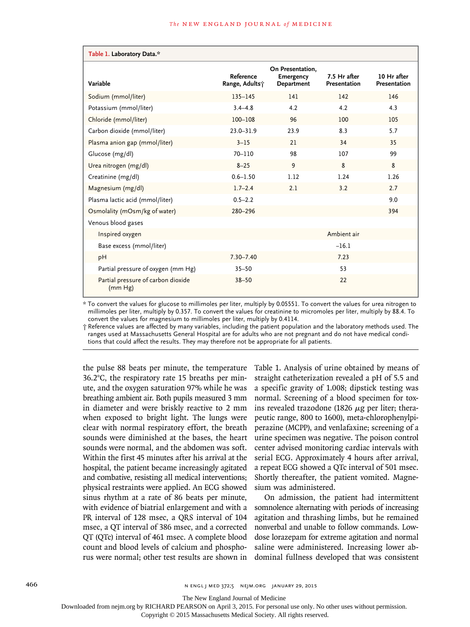| Table 1. Laboratory Data.*                    |                             |                                                    |                              |                             |
|-----------------------------------------------|-----------------------------|----------------------------------------------------|------------------------------|-----------------------------|
| Variable                                      | Reference<br>Range, Adults; | On Presentation,<br><b>Emergency</b><br>Department | 7.5 Hr after<br>Presentation | 10 Hr after<br>Presentation |
| Sodium (mmol/liter)                           | $135 - 145$                 | 141                                                | 142                          | 146                         |
| Potassium (mmol/liter)                        | $3.4 - 4.8$                 | 4.2                                                | 4.2                          | 4.3                         |
| Chloride (mmol/liter)                         | $100 - 108$                 | 96                                                 | 100                          | 105                         |
| Carbon dioxide (mmol/liter)                   | $23.0 - 31.9$               | 23.9                                               | 8.3                          | 5.7                         |
| Plasma anion gap (mmol/liter)                 | $3 - 15$                    | 21                                                 | 34                           | 35                          |
| Glucose (mg/dl)                               | 70-110                      | 98                                                 | 107                          | 99                          |
| Urea nitrogen (mg/dl)                         | $8 - 25$                    | 9                                                  | 8                            | 8                           |
| Creatinine (mg/dl)                            | $0.6 - 1.50$                | 1.12                                               | 1.24                         | 1.26                        |
| Magnesium (mg/dl)                             | $1.7 - 2.4$                 | 2.1                                                | 3.2                          | 2.7                         |
| Plasma lactic acid (mmol/liter)               | $0.5 - 2.2$                 |                                                    |                              | 9.0                         |
| Osmolality (mOsm/kg of water)                 | 280-296                     |                                                    |                              | 394                         |
| Venous blood gases                            |                             |                                                    |                              |                             |
| Inspired oxygen                               |                             |                                                    | Ambient air                  |                             |
| Base excess (mmol/liter)                      |                             |                                                    | $-16.1$                      |                             |
| pH                                            | $7.30 - 7.40$               |                                                    | 7.23                         |                             |
| Partial pressure of oxygen (mm Hg)            | $35 - 50$                   |                                                    | 53                           |                             |
| Partial pressure of carbon dioxide<br>(mm Hg) | $38 - 50$                   |                                                    | 22                           |                             |

\* To convert the values for glucose to millimoles per liter, multiply by 0.05551. To convert the values for urea nitrogen to millimoles per liter, multiply by 0.357. To convert the values for creatinine to micromoles per liter, multiply by 88.4. To convert the values for magnesium to millimoles per liter, multiply by 0.4114.

† Reference values are affected by many variables, including the patient population and the laboratory methods used. The ranges used at Massachusetts General Hospital are for adults who are not pregnant and do not have medical condi‑ tions that could affect the results. They may therefore not be appropriate for all patients.

the pulse 88 beats per minute, the temperature 36.2°C, the respiratory rate 15 breaths per minute, and the oxygen saturation 97% while he was breathing ambient air. Both pupils measured 3 mm in diameter and were briskly reactive to 2 mm when exposed to bright light. The lungs were clear with normal respiratory effort, the breath sounds were diminished at the bases, the heart sounds were normal, and the abdomen was soft. Within the first 45 minutes after his arrival at the hospital, the patient became increasingly agitated and combative, resisting all medical interventions; physical restraints were applied. An ECG showed sinus rhythm at a rate of 86 beats per minute, with evidence of biatrial enlargement and with a PR interval of 128 msec, a QRS interval of 104 msec, a QT interval of 386 msec, and a corrected QT (QTc) interval of 461 msec. A complete blood count and blood levels of calcium and phosphorus were normal; other test results are shown in

Table 1. Analysis of urine obtained by means of straight catheterization revealed a pH of 5.5 and a specific gravity of 1.008; dipstick testing was normal. Screening of a blood specimen for toxins revealed trazodone (1826  $\mu$ g per liter; therapeutic range, 800 to 1600), meta-chlorophenylpiperazine (MCPP), and venlafaxine; screening of a urine specimen was negative. The poison control center advised monitoring cardiac intervals with serial ECG. Approximately 4 hours after arrival, a repeat ECG showed a QTc interval of 501 msec. Shortly thereafter, the patient vomited. Magnesium was administered.

On admission, the patient had intermittent somnolence alternating with periods of increasing agitation and thrashing limbs, but he remained nonverbal and unable to follow commands. Lowdose lorazepam for extreme agitation and normal saline were administered. Increasing lower abdominal fullness developed that was consistent

466 n engl j med 372;5 nejm.org January 29, 2015

The New England Journal of Medicine

Downloaded from nejm.org by RICHARD PEARSON on April 3, 2015. For personal use only. No other uses without permission.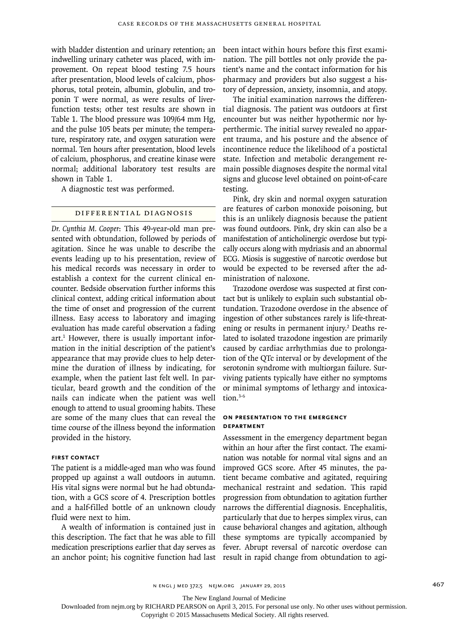with bladder distention and urinary retention; an indwelling urinary catheter was placed, with improvement. On repeat blood testing 7.5 hours after presentation, blood levels of calcium, phosphorus, total protein, albumin, globulin, and troponin T were normal, as were results of liverfunction tests; other test results are shown in Table 1. The blood pressure was 109/64 mm Hg, and the pulse 105 beats per minute; the temperature, respiratory rate, and oxygen saturation were normal. Ten hours after presentation, blood levels of calcium, phosphorus, and creatine kinase were normal; additional laboratory test results are shown in Table 1.

A diagnostic test was performed.

## Differential Diagnosis

*Dr. Cynthia M. Cooper*: This 49-year-old man presented with obtundation, followed by periods of agitation. Since he was unable to describe the events leading up to his presentation, review of his medical records was necessary in order to establish a context for the current clinical encounter. Bedside observation further informs this clinical context, adding critical information about the time of onset and progression of the current illness. Easy access to laboratory and imaging evaluation has made careful observation a fading art.<sup>1</sup> However, there is usually important information in the initial description of the patient's appearance that may provide clues to help determine the duration of illness by indicating, for example, when the patient last felt well. In particular, beard growth and the condition of the nails can indicate when the patient was well enough to attend to usual grooming habits. These are some of the many clues that can reveal the time course of the illness beyond the information provided in the history.

## **First Contact**

The patient is a middle-aged man who was found propped up against a wall outdoors in autumn. His vital signs were normal but he had obtundation, with a GCS score of 4. Prescription bottles and a half-filled bottle of an unknown cloudy fluid were next to him.

A wealth of information is contained just in this description. The fact that he was able to fill medication prescriptions earlier that day serves as an anchor point; his cognitive function had last

been intact within hours before this first examination. The pill bottles not only provide the patient's name and the contact information for his pharmacy and providers but also suggest a history of depression, anxiety, insomnia, and atopy.

The initial examination narrows the differential diagnosis. The patient was outdoors at first encounter but was neither hypothermic nor hyperthermic. The initial survey revealed no apparent trauma, and his posture and the absence of incontinence reduce the likelihood of a postictal state. Infection and metabolic derangement remain possible diagnoses despite the normal vital signs and glucose level obtained on point-of-care testing.

Pink, dry skin and normal oxygen saturation are features of carbon monoxide poisoning, but this is an unlikely diagnosis because the patient was found outdoors. Pink, dry skin can also be a manifestation of anticholinergic overdose but typically occurs along with mydriasis and an abnormal ECG. Miosis is suggestive of narcotic overdose but would be expected to be reversed after the administration of naloxone.

Trazodone overdose was suspected at first contact but is unlikely to explain such substantial obtundation. Trazodone overdose in the absence of ingestion of other substances rarely is life-threatening or results in permanent injury.<sup>2</sup> Deaths related to isolated trazodone ingestion are primarily caused by cardiac arrhythmias due to prolongation of the QTc interval or by development of the serotonin syndrome with multiorgan failure. Surviving patients typically have either no symptoms or minimal symptoms of lethargy and intoxication.3-6

# **On Presentation to the Emergency Department**

Assessment in the emergency department began within an hour after the first contact. The examination was notable for normal vital signs and an improved GCS score. After 45 minutes, the patient became combative and agitated, requiring mechanical restraint and sedation. This rapid progression from obtundation to agitation further narrows the differential diagnosis. Encephalitis, particularly that due to herpes simplex virus, can cause behavioral changes and agitation, although these symptoms are typically accompanied by fever. Abrupt reversal of narcotic overdose can result in rapid change from obtundation to agi-

n engl j med 372;5 nejm.org January 29, 2015 467

The New England Journal of Medicine

Downloaded from nejm.org by RICHARD PEARSON on April 3, 2015. For personal use only. No other uses without permission.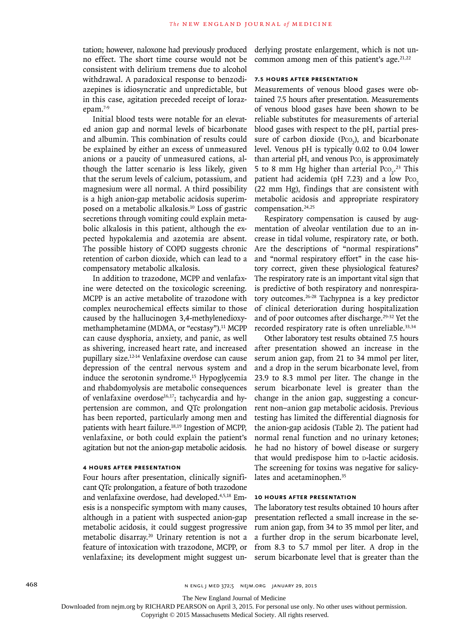tation; however, naloxone had previously produced no effect. The short time course would not be consistent with delirium tremens due to alcohol withdrawal. A paradoxical response to benzodiazepines is idiosyncratic and unpredictable, but in this case, agitation preceded receipt of lorazepam.7-9

Initial blood tests were notable for an elevated anion gap and normal levels of bicarbonate and albumin. This combination of results could be explained by either an excess of unmeasured anions or a paucity of unmeasured cations, although the latter scenario is less likely, given that the serum levels of calcium, potassium, and magnesium were all normal. A third possibility is a high anion-gap metabolic acidosis superimposed on a metabolic alkalosis.10 Loss of gastric secretions through vomiting could explain metabolic alkalosis in this patient, although the expected hypokalemia and azotemia are absent. The possible history of COPD suggests chronic retention of carbon dioxide, which can lead to a compensatory metabolic alkalosis.

In addition to trazodone, MCPP and venlafaxine were detected on the toxicologic screening. MCPP is an active metabolite of trazodone with complex neurochemical effects similar to those caused by the hallucinogen 3,4-methylenedioxymethamphetamine (MDMA, or "ecstasy").<sup>11</sup> MCPP can cause dysphoria, anxiety, and panic, as well as shivering, increased heart rate, and increased pupillary size.12-14 Venlafaxine overdose can cause depression of the central nervous system and induce the serotonin syndrome.15 Hypoglycemia and rhabdomyolysis are metabolic consequences of venlafaxine overdose<sup>16,17</sup>; tachycardia and hypertension are common, and QTc prolongation has been reported, particularly among men and patients with heart failure.<sup>18,19</sup> Ingestion of MCPP, venlafaxine, or both could explain the patient's agitation but not the anion-gap metabolic acidosis.

# **4 Hours after Presentation**

Four hours after presentation, clinically significant QTc prolongation, a feature of both trazodone and venlafaxine overdose, had developed.4,5,18 Emesis is a nonspecific symptom with many causes, although in a patient with suspected anion-gap metabolic acidosis, it could suggest progressive metabolic disarray.20 Urinary retention is not a feature of intoxication with trazodone, MCPP, or venlafaxine; its development might suggest underlying prostate enlargement, which is not uncommon among men of this patient's age. $21,22$ 

## **7.5 Hours after Presentation**

Measurements of venous blood gases were obtained 7.5 hours after presentation. Measurements of venous blood gases have been shown to be reliable substitutes for measurements of arterial blood gases with respect to the pH, partial pressure of carbon dioxide ( $PCO<sub>2</sub>$ ), and bicarbonate level. Venous pH is typically 0.02 to 0.04 lower than arterial pH, and venous  $PCO<sub>2</sub>$  is approximately 5 to 8 mm Hg higher than arterial  $P_{\text{CO}_2}$ .<sup>23</sup> This patient had acidemia (pH  $7.23$ ) and a low Pco<sub>2</sub> (22 mm Hg), findings that are consistent with metabolic acidosis and appropriate respiratory compensation.<sup>24,25</sup>

Respiratory compensation is caused by augmentation of alveolar ventilation due to an increase in tidal volume, respiratory rate, or both. Are the descriptions of "normal respirations" and "normal respiratory effort" in the case history correct, given these physiological features? The respiratory rate is an important vital sign that is predictive of both respiratory and nonrespiratory outcomes.26-28 Tachypnea is a key predictor of clinical deterioration during hospitalization and of poor outcomes after discharge.<sup>29-32</sup> Yet the recorded respiratory rate is often unreliable.<sup>33,34</sup>

Other laboratory test results obtained 7.5 hours after presentation showed an increase in the serum anion gap, from 21 to 34 mmol per liter, and a drop in the serum bicarbonate level, from 23.9 to 8.3 mmol per liter. The change in the serum bicarbonate level is greater than the change in the anion gap, suggesting a concurrent non–anion gap metabolic acidosis. Previous testing has limited the differential diagnosis for the anion-gap acidosis (Table 2). The patient had normal renal function and no urinary ketones; he had no history of bowel disease or surgery that would predispose him to p-lactic acidosis. The screening for toxins was negative for salicylates and acetaminophen.<sup>35</sup>

## **10 Hours after Presentation**

The laboratory test results obtained 10 hours after presentation reflected a small increase in the serum anion gap, from 34 to 35 mmol per liter, and a further drop in the serum bicarbonate level, from 8.3 to 5.7 mmol per liter. A drop in the serum bicarbonate level that is greater than the

The New England Journal of Medicine

Downloaded from nejm.org by RICHARD PEARSON on April 3, 2015. For personal use only. No other uses without permission.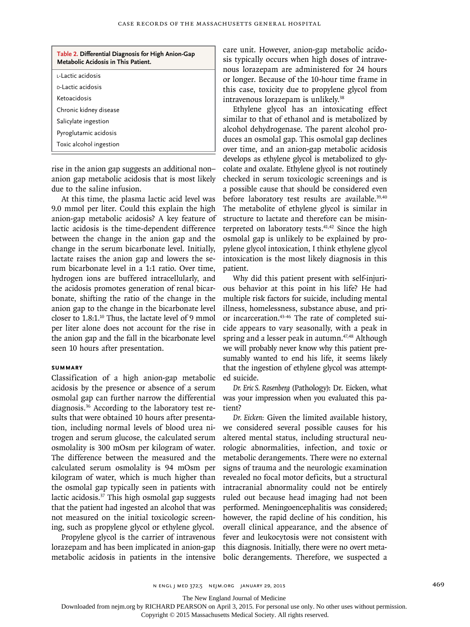| Table 2. Differential Diagnosis for High Anion-Gap<br>Metabolic Acidosis in This Patient. |  |
|-------------------------------------------------------------------------------------------|--|
| ı-Lactic acidosis                                                                         |  |
| <u>p-Lactic acidosis</u>                                                                  |  |
| Ketoacidosis                                                                              |  |
| Chronic kidney disease                                                                    |  |
| Salicylate ingestion                                                                      |  |
| Pyroglutamic acidosis                                                                     |  |
| Toxic alcohol ingestion                                                                   |  |

rise in the anion gap suggests an additional non– anion gap metabolic acidosis that is most likely due to the saline infusion.

At this time, the plasma lactic acid level was 9.0 mmol per liter. Could this explain the high anion-gap metabolic acidosis? A key feature of lactic acidosis is the time-dependent difference between the change in the anion gap and the change in the serum bicarbonate level. Initially, lactate raises the anion gap and lowers the serum bicarbonate level in a 1:1 ratio. Over time, hydrogen ions are buffered intracellularly, and the acidosis promotes generation of renal bicarbonate, shifting the ratio of the change in the anion gap to the change in the bicarbonate level closer to 1.8:1.<sup>10</sup> Thus, the lactate level of 9 mmol per liter alone does not account for the rise in the anion gap and the fall in the bicarbonate level seen 10 hours after presentation.

### **Summary**

Classification of a high anion-gap metabolic acidosis by the presence or absence of a serum osmolal gap can further narrow the differential diagnosis.36 According to the laboratory test results that were obtained 10 hours after presentation, including normal levels of blood urea nitrogen and serum glucose, the calculated serum osmolality is 300 mOsm per kilogram of water. The difference between the measured and the calculated serum osmolality is 94 mOsm per kilogram of water, which is much higher than the osmolal gap typically seen in patients with lactic acidosis.37 This high osmolal gap suggests that the patient had ingested an alcohol that was not measured on the initial toxicologic screening, such as propylene glycol or ethylene glycol.

Propylene glycol is the carrier of intravenous lorazepam and has been implicated in anion-gap metabolic acidosis in patients in the intensive care unit. However, anion-gap metabolic acidosis typically occurs when high doses of intravenous lorazepam are administered for 24 hours or longer. Because of the 10-hour time frame in this case, toxicity due to propylene glycol from intravenous lorazepam is unlikely.<sup>38</sup>

Ethylene glycol has an intoxicating effect similar to that of ethanol and is metabolized by alcohol dehydrogenase. The parent alcohol produces an osmolal gap. This osmolal gap declines over time, and an anion-gap metabolic acidosis develops as ethylene glycol is metabolized to glycolate and oxalate. Ethylene glycol is not routinely checked in serum toxicologic screenings and is a possible cause that should be considered even before laboratory test results are available.<sup>39,40</sup> The metabolite of ethylene glycol is similar in structure to lactate and therefore can be misinterpreted on laboratory tests. $41,42$  Since the high osmolal gap is unlikely to be explained by propylene glycol intoxication, I think ethylene glycol intoxication is the most likely diagnosis in this patient.

Why did this patient present with self-injurious behavior at this point in his life? He had multiple risk factors for suicide, including mental illness, homelessness, substance abuse, and prior incarceration.43-46 The rate of completed suicide appears to vary seasonally, with a peak in spring and a lesser peak in autumn.<sup>47,48</sup> Although we will probably never know why this patient presumably wanted to end his life, it seems likely that the ingestion of ethylene glycol was attempted suicide.

*Dr. Eric S. Rosenberg* (Pathology): Dr. Eicken, what was your impression when you evaluated this patient?

*Dr. Eicken:* Given the limited available history, we considered several possible causes for his altered mental status, including structural neurologic abnormalities, infection, and toxic or metabolic derangements. There were no external signs of trauma and the neurologic examination revealed no focal motor deficits, but a structural intracranial abnormality could not be entirely ruled out because head imaging had not been performed. Meningoencephalitis was considered; however, the rapid decline of his condition, his overall clinical appearance, and the absence of fever and leukocytosis were not consistent with this diagnosis. Initially, there were no overt metabolic derangements. Therefore, we suspected a

The New England Journal of Medicine

Downloaded from nejm.org by RICHARD PEARSON on April 3, 2015. For personal use only. No other uses without permission.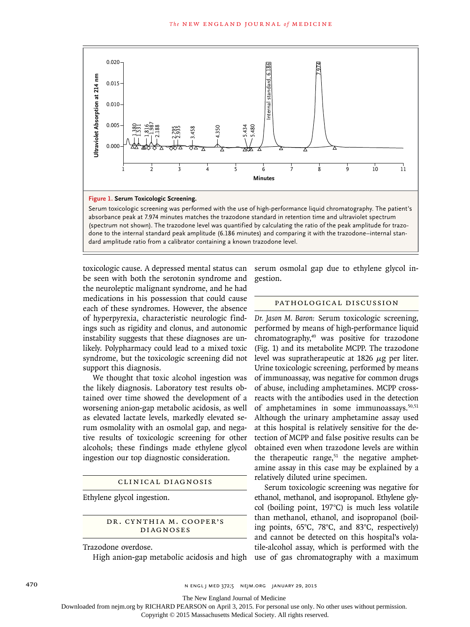

done to the internal standard peak amplitude (6.186 minutes) and comparing it with the trazodone–internal stan-

toxicologic cause. A depressed mental status can be seen with both the serotonin syndrome and the neuroleptic malignant syndrome, and he had medications in his possession that could cause each of these syndromes. However, the absence of hyperpyrexia, characteristic neurologic findings such as rigidity and clonus, and autonomic instability suggests that these diagnoses are unlikely. Polypharmacy could lead to a mixed toxic syndrome, but the toxicologic screening did not support this diagnosis.

We thought that toxic alcohol ingestion was the likely diagnosis. Laboratory test results obtained over time showed the development of a worsening anion-gap metabolic acidosis, as well as elevated lactate levels, markedly elevated serum osmolality with an osmolal gap, and negative results of toxicologic screening for other alcohols; these findings made ethylene glycol ingestion our top diagnostic consideration.

## Clinical Diagnosis

Ethylene glycol ingestion.

DR. CYNTHIA M. COOPER'S Diagnoses

Trazodone overdose.

High anion-gap metabolic acidosis and high

serum osmolal gap due to ethylene glycol ingestion.

#### Pathological Discussion

*Dr. Jason M. Baron:* Serum toxicologic screening, performed by means of high-performance liquid chromatography,<sup>49</sup> was positive for trazodone (Fig. 1) and its metabolite MCPP. The trazodone level was supratherapeutic at 1826  $\mu$ g per liter. Urine toxicologic screening, performed by means of immunoassay, was negative for common drugs of abuse, including amphetamines. MCPP crossreacts with the antibodies used in the detection of amphetamines in some immunoassays.<sup>50,51</sup> Although the urinary amphetamine assay used at this hospital is relatively sensitive for the detection of MCPP and false positive results can be obtained even when trazodone levels are within the therapeutic range, $51$  the negative amphetamine assay in this case may be explained by a relatively diluted urine specimen.

Serum toxicologic screening was negative for ethanol, methanol, and isopropanol. Ethylene glycol (boiling point, 197°C) is much less volatile than methanol, ethanol, and isopropanol (boiling points, 65°C, 78°C, and 83°C, respectively) and cannot be detected on this hospital's volatile-alcohol assay, which is performed with the use of gas chromatography with a maximum

470 **n engl j med 372;5 nejm.org January 29, 2015** 

The New England Journal of Medicine

Downloaded from nejm.org by RICHARD PEARSON on April 3, 2015. For personal use only. No other uses without permission.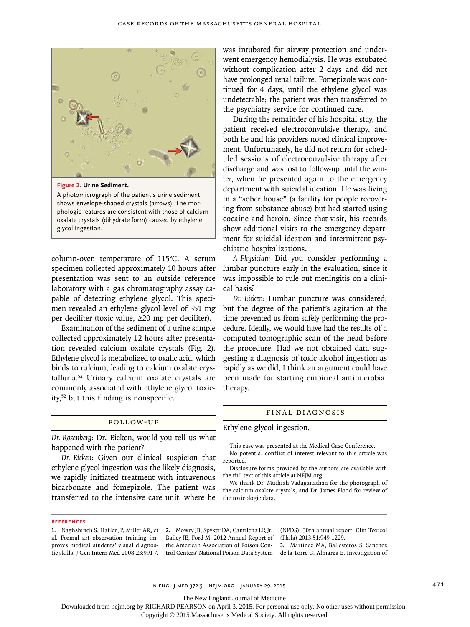

shows envelope-shaped crystals (arrows). The morphologic features are consistent with those of calcium oxalate crystals (dihydrate form) caused by ethylene glycol ingestion.

column-oven temperature of 115°C. A serum specimen collected approximately 10 hours after presentation was sent to an outside reference laboratory with a gas chromatography assay capable of detecting ethylene glycol. This specimen revealed an ethylene glycol level of 351 mg per deciliter (toxic value, ≥20 mg per deciliter).

Examination of the sediment of a urine sample collected approximately 12 hours after presentation revealed calcium oxalate crystals (Fig. 2). Ethylene glycol is metabolized to oxalic acid, which binds to calcium, leading to calcium oxalate crystalluria.52 Urinary calcium oxalate crystals are commonly associated with ethylene glycol toxicity,52 but this finding is nonspecific.

## Follow-up

*Dr. Rosenberg:* Dr. Eicken, would you tell us what happened with the patient?

*Dr. Eicken:* Given our clinical suspicion that ethylene glycol ingestion was the likely diagnosis, we rapidly initiated treatment with intravenous bicarbonate and fomepizole. The patient was transferred to the intensive care unit, where he was intubated for airway protection and underwent emergency hemodialysis. He was extubated without complication after 2 days and did not have prolonged renal failure. Fomepizole was continued for 4 days, until the ethylene glycol was undetectable; the patient was then transferred to the psychiatry service for continued care.

During the remainder of his hospital stay, the patient received electroconvulsive therapy, and both he and his providers noted clinical improvement. Unfortunately, he did not return for scheduled sessions of electroconvulsive therapy after discharge and was lost to follow-up until the winter, when he presented again to the emergency department with suicidal ideation. He was living in a "sober house" (a facility for people recovering from substance abuse) but had started using cocaine and heroin. Since that visit, his records show additional visits to the emergency department for suicidal ideation and intermittent psychiatric hospitalizations.

*A Physician:* Did you consider performing a lumbar puncture early in the evaluation, since it was impossible to rule out meningitis on a clinical basis?

*Dr. Eicken:* Lumbar puncture was considered, but the degree of the patient's agitation at the time prevented us from safely performing the procedure. Ideally, we would have had the results of a computed tomographic scan of the head before the procedure. Had we not obtained data suggesting a diagnosis of toxic alcohol ingestion as rapidly as we did, I think an argument could have been made for starting empirical antimicrobial therapy.

#### Final Diagnosis

### Ethylene glycol ingestion.

This case was presented at the Medical Case Conference.

No potential conflict of interest relevant to this article was reported.

Disclosure forms provided by the authors are available with the full text of this article at NEJM.org.

We thank Dr. Muthiah Vaduganathan for the photograph of the calcium oxalate crystals, and Dr. James Flood for review of the toxicologic data.

#### **References**

**1.** Naghshineh S, Hafler JP, Miller AR, et al. Formal art observation training improves medical students' visual diagnostic skills. J Gen Intern Med 2008;23:991-7. trol Centers' National Poison Data System de la Torre C, Almarza E. Investigation of

**2.** Mowry JB, Spyker DA, Cantilena LR Jr, Bailey JE, Ford M. 2012 Annual Report of the American Association of Poison Con-

(NPDS): 30th annual report. Clin Toxicol (Phila) 2013;51:949-1229.

**3.** Martínez MA, Ballesteros S, Sánchez

n engl j med 372;5 nejm.org January 29, 2015 471

The New England Journal of Medicine

Downloaded from nejm.org by RICHARD PEARSON on April 3, 2015. For personal use only. No other uses without permission.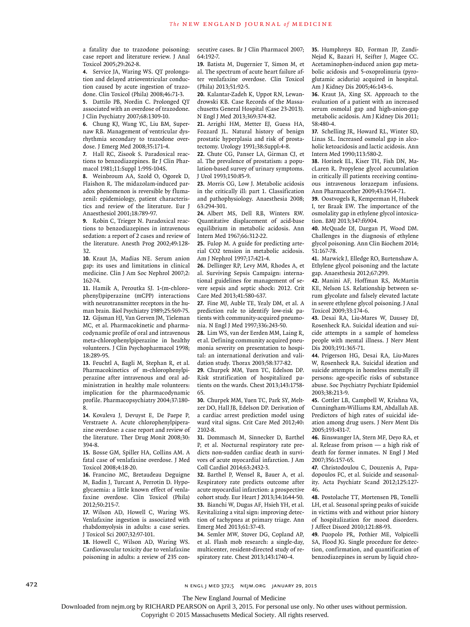a fatality due to trazodone poisoning: case report and literature review. J Anal Toxicol 2005;29:262-8.

**4.** Service JA, Waring WS. QT prolongation and delayed atrioventricular conduction caused by acute ingestion of trazodone. Clin Toxicol (Phila) 2008;46:71-3.

**5.** Dattilo PB, Nordin C. Prolonged QT associated with an overdose of trazodone. J Clin Psychiatry 2007;68:1309-10.

**6.** Chung KJ, Wang YC, Liu BM, Supernaw RB. Management of ventricular dysrhythmia secondary to trazodone overdose. J Emerg Med 2008;35:171-4.

**7.** Hall RC, Zisook S. Paradoxical reactions to benzodiazepines. Br J Clin Pharmacol 1981;11:Suppl 1:99S-104S.

**8.** Weinbroum AA, Szold O, Ogorek D, Flaishon R. The midazolam-induced paradox phenomenon is reversible by flumazenil: epidemiology, patient characteristics and review of the literature. Eur J Anaesthesiol 2001;18:789-97.

**9.** Robin C, Trieger N. Paradoxical reactions to benzodiazepines in intravenous sedation: a report of 2 cases and review of the literature. Anesth Prog 2002;49:128- 32.

**10.** Kraut JA, Madias NE. Serum anion gap: its uses and limitations in clinical medicine. Clin J Am Soc Nephrol 2007;2: 162-74.

**11.** Hamik A, Peroutka SJ. 1-(m-chlorophenyl)piperazine (mCPP) interactions with neurotransmitter receptors in the human brain. Biol Psychiatry 1989;25:569-75. **12.** Gijsman HJ, Van Gerven JM, Tieleman MC, et al. Pharmacokinetic and pharmacodynamic profile of oral and intravenous meta-chlorophenylpiperazine in healthy volunteers. J Clin Psychopharmacol 1998; 18:289-95.

**13.** Feuchtl A, Bagli M, Stephan R, et al. Pharmacokinetics of m-chlorophenylpiperazine after intravenous and oral administration in healthy male volunteers: implication for the pharmacodynamic profile. Pharmacopsychiatry 2004;37:180- 8.

**14.** Kovaleva J, Devuyst E, De Paepe P, Verstraete A. Acute chlorophenylpiperazine overdose: a case report and review of the literature. Ther Drug Monit 2008;30: 394-8.

**15.** Bosse GM, Spiller HA, Collins AM. A fatal case of venlafaxine overdose. J Med Toxicol 2008;4:18-20.

**16.** Francino MC, Bretaudeau Deguigne M, Badin J, Turcant A, Perrotin D. Hypoglycaemia: a little known effect of venlafaxine overdose. Clin Toxicol (Phila) 2012;50:215-7.

**17.** Wilson AD, Howell C, Waring WS. Venlafaxine ingestion is associated with rhabdomyolysis in adults: a case series. J Toxicol Sci 2007;32:97-101.

**18.** Howell C, Wilson AD, Waring WS. Cardiovascular toxicity due to venlafaxine poisoning in adults: a review of 235 consecutive cases. Br J Clin Pharmacol 2007; 64:192-7.

**19.** Batista M, Dugernier T, Simon M, et al. The spectrum of acute heart failure after venlafaxine overdose. Clin Toxicol (Phila) 2013;51:92-5.

**20.** Kalantar-Zadeh K, Uppot RN, Lewandrowski KB. Case Records of the Massachusetts General Hospital (Case 23-2013). N Engl J Med 2013;369:374-82.

**21.** Arrighi HM, Metter EJ, Guess HA, Fozzard JL. Natural history of benign prostatic hyperplasia and risk of prostatectomy. Urology 1991;38:Suppl:4-8.

**22.** Chute CG, Panser LA, Girman CJ, et al. The prevalence of prostatism: a population-based survey of urinary symptoms. J Urol 1993;150:85-9.

**23.** Morris CG, Low J. Metabolic acidosis in the critically ill: part 1. Classification and pathophysiology. Anaesthesia 2008; 63:294-301.

**24.** Albert MS, Dell RB, Winters RW. Quantitative displacement of acid-base equilibrium in metabolic acidosis. Ann Intern Med 1967;66:312-22.

**25.** Fulop M. A guide for predicting arterial CO2 tension in metabolic acidosis. Am J Nephrol 1997;17:421-4.

**26.** Dellinger RP, Levy MM, Rhodes A, et al. Surviving Sepsis Campaign: international guidelines for management of severe sepsis and septic shock: 2012. Crit Care Med 2013;41:580-637.

**27.** Fine MJ, Auble TE, Yealy DM, et al. A prediction rule to identify low-risk patients with community-acquired pneumonia. N Engl J Med 1997;336:243-50.

**28.** Lim WS, van der Eerden MM, Laing R, et al. Defining community acquired pneumonia severity on presentation to hospital: an international derivation and validation study. Thorax 2003;58:377-82.

**29.** Churpek MM, Yuen TC, Edelson DP. Risk stratification of hospitalized patients on the wards. Chest 2013;143:1758- 65.

**30.** Churpek MM, Yuen TC, Park SY, Meltzer DO, Hall JB, Edelson DP. Derivation of a cardiac arrest prediction model using ward vital signs. Crit Care Med 2012;40: 2102-8.

**31.** Dommasch M, Sinnecker D, Barthel P, et al. Nocturnal respiratory rate predicts non-sudden cardiac death in survivors of acute myocardial infarction. J Am Coll Cardiol 2014;63:2432-3.

**32.** Barthel P, Wensel R, Bauer A, et al. Respiratory rate predicts outcome after acute myocardial infarction: a prospective cohort study. Eur Heart J 2013;34:1644-50. **33.** Bianchi W, Dugas AF, Hsieh YH, et al. Revitalizing a vital sign: improving detection of tachypnea at primary triage. Ann Emerg Med 2013;61:37-43.

**34.** Semler MW, Stover DG, Copland AP, et al. Flash mob research: a single-day, multicenter, resident-directed study of respiratory rate. Chest 2013;143:1740-4.

**35.** Humphreys BD, Forman JP, Zandi-Nejad K, Bazari H, Seifter J, Magee CC. Acetaminophen-induced anion gap metabolic acidosis and 5-oxoprolinuria (pyroglutamic aciduria) acquired in hospital. Am J Kidney Dis 2005;46:143-6.

**36.** Kraut JA, Xing SX. Approach to the evaluation of a patient with an increased serum osmolal gap and high-anion-gap metabolic acidosis. Am J Kidney Dis 2011; 58:480-4.

**37.** Schelling JR, Howard RL, Winter SD, Linas SL. Increased osmolal gap in alcoholic ketoacidosis and lactic acidosis. Ann Intern Med 1990;113:580-2.

**38.** Horinek EL, Kiser TH, Fish DN, MacLaren R. Propylene glycol accumulation in critically ill patients receiving continuous intravenous lorazepam infusions. Ann Pharmacother 2009;43:1964-71.

**39.** Oostvogels R, Kemperman H, Hubeek I, ter Braak EW. The importance of the osmolality gap in ethylene glycol intoxication. BMJ 2013;347:f6904.

**40.** McQuade DJ, Dargan PI, Wood DM. Challenges in the diagnosis of ethylene glycol poisoning. Ann Clin Biochem 2014; 51:167-78.

**41.** Marwick J, Elledge RO, Burtenshaw A. Ethylene glycol poisoning and the lactate gap. Anaesthesia 2012;67:299.

**42.** Manini AF, Hoffman RS, McMartin KE, Nelson LS. Relationship between serum glycolate and falsely elevated lactate in severe ethylene glycol poisoning. J Anal Toxicol 2009;33:174-6.

**43.** Desai RA, Liu-Mares W, Dausey DJ, Rosenheck RA. Suicidal ideation and suicide attempts in a sample of homeless people with mental illness. J Nerv Ment Dis 2003;191:365-71.

**44.** Prigerson HG, Desai RA, Liu-Mares W, Rosenheck RA. Suicidal ideation and suicide attempts in homeless mentally ill persons: age-specific risks of substance abuse. Soc Psychiatry Psychiatr Epidemiol 2003;38:213-9.

**45.** Cottler LB, Campbell W, Krishna VA, Cunningham-Williams RM, Abdallah AB. Predictors of high rates of suicidal ideation among drug users. J Nerv Ment Dis 2005;193:431-7.

**46.** Binswanger IA, Stern MF, Deyo RA, et al. Release from prison — a high risk of death for former inmates. N Engl J Med 2007;356:157-65.

**47.** Christodoulou C, Douzenis A, Papadopoulos FC, et al. Suicide and seasonality. Acta Psychiatr Scand 2012;125:127- 46.

**48.** Postolache TT, Mortensen PB, Tonelli LH, et al. Seasonal spring peaks of suicide in victims with and without prior history of hospitalization for mood disorders. J Affect Disord 2010;121:88-93.

**49.** Puopolo PR, Pothier ME, Volpicelli SA, Flood JG. Single procedure for detection, confirmation, and quantification of benzodiazepines in serum by liquid chro-

472 **n engl j med 372;5 nejm.org January 29, 2015** n engl j med 372;5 nejm.org January 29, 2015

The New England Journal of Medicine

Downloaded from nejm.org by RICHARD PEARSON on April 3, 2015. For personal use only. No other uses without permission.